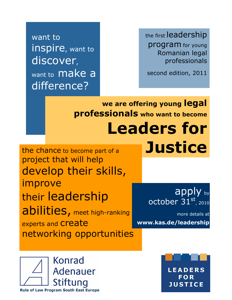want to inspire, want to discover, want to **make a** difference?

the first leadership program for young Romanian legal professionals

second edition, 2011

**we are offering young legal professionals who want to become Leaders for** 

**L I D E R I P E N T R U J U S T I ł I E**

the chance to become part of a project that will help develop their skills, improve their leadership abilities, meet high-ranking experts and **Create** networking opportunities **Justice**

apply by october  $31^\mathrm{st}$ , 2010

more details at **www.kas.de/leadership**



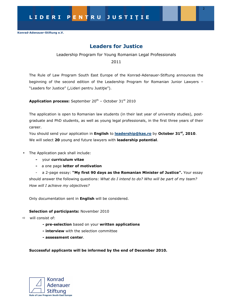# **Leaders for Justice**

Leadership Program for Young Romanian Legal Professionals

2011

The Rule of Law Program South East Europe of the Konrad-Adenauer-Stiftung announces the beginning of the second edition of the Leadership Program for Romanian Junior Lawyers – "Leaders for Justice" ("Lideri pentru Justiție").

**Application process:** September 20<sup>th</sup> - October 31<sup>st</sup> 2010

The application is open to Romanian law students (in their last year of university studies), postgraduate and PhD students, as well as young legal professionals, in the first three years of their career.

You should send your application in **English** to **leadership@kas.ro** by **October 31st, 2010**. We will select **20** young and future lawyers with **leadership potential**.

- The Application pack shall include:
	- your **curriculum vitae**
	- a one page **letter of motivation**

- a 2-page essay: **"My first 90 days as the Romanian Minister of Justice".** Your essay should answer the following questions: *What do I intend to do? Who will be part of my team? How will I achieve my objectives?* 

Only documentation sent in **English** will be considered.

## **Selection of participants:** November 2010

- will consist of:
	- **pre-selection** based on your **written applications**
	- **interview** with the selection committee
	- **assessment center**.

## **Successful applicants will be informed by the end of December 2010.**

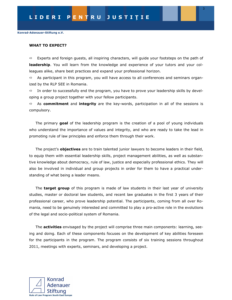#### **WHAT TO EXPECT?**

 $\Rightarrow$  Experts and foreign guests, all inspiring characters, will guide your footsteps on the path of **leadership**. You will learn from the knowledge and experience of your tutors and your colleagues alike, share best practices and expand your professional horizon.

 $\Rightarrow$  As participant in this program, you will have access to all conferences and seminars organized by the RLP SEE in Romania.

 $\Rightarrow$  In order to successfully end the program, you have to prove your leadership skills by developing a group project together with your fellow participants.

 As **commitment** and **integrity** are the key-words, participation in all of the sessions is compulsory.

The primary **goal** of the leadership program is the creation of a pool of young individuals who understand the importance of values and integrity, and who are ready to take the lead in promoting rule of law principles and enforce them through their work.

The project's **objectives** are to train talented junior lawyers to become leaders in their field, to equip them with essential leadership skills, project management abilities, as well as substantive knowledge about democracy, rule of law, justice and especially professional ethics. They will also be involved in individual and group projects in order for them to have a practical understanding of what being a leader means.

The **target group** of this program is made of law students in their last year of university studies, master or doctoral law students, and recent law graduates in the first 3 years of their professional career, who prove leadership potential. The participants, coming from all over Romania, need to be genuinely interested and committed to play a pro-active role in the evolutions of the legal and socio-political system of Romania.

The **activities** envisaged by the project will comprise three main components: learning, seeing and doing. Each of these components focuses on the development of key abilities foreseen for the participants in the program. The program consists of six training sessions throughout 2011, meetings with experts, seminars, and developing a project.

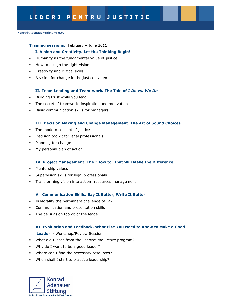4

**Konrad-Adenauer-Stiftung e.V.** 

#### **Training sessions:** February – June 2011

#### **I. Vision and Creativity. Let the Thinking Begin!**

- Humanity as the fundamental value of justice
- How to design the right vision
- Creativity and critical skills
- A vision for change in the justice system

#### **II. Team Leading and Team-work. The Tale of** *I Do* **vs.** *We Do*

- Building trust while you lead
- The secret of teamwork: inspiration and motivation
- -Basic communication skills for managers

#### **III. Decision Making and Change Management. The Art of Sound Choices**

- The modern concept of justice
- Decision toolkit for legal professionals
- Planning for change
- My personal plan of action

#### **IV. Project Management. The "How to" that Will Make the Difference**

- Mentorship values
- Supervision skills for legal professionals
- Transforming vision into action: resources management

#### **V. Communication Skills. Say It Better, Write It Better**

- Is Morality the permanent challenge of Law?
- Communication and presentation skills
- -The persuasion toolkit of the leader

#### **VI. Evaluation and Feedback. What Else You Need to Know to Make a Good**

 **Leader** - Workshop/Review Session

- What did I learn from the *Leaders for Justice* program?
- Why do I want to be a good leader?
- Where can I find the necessary resources?
- When shall I start to practice leadership?